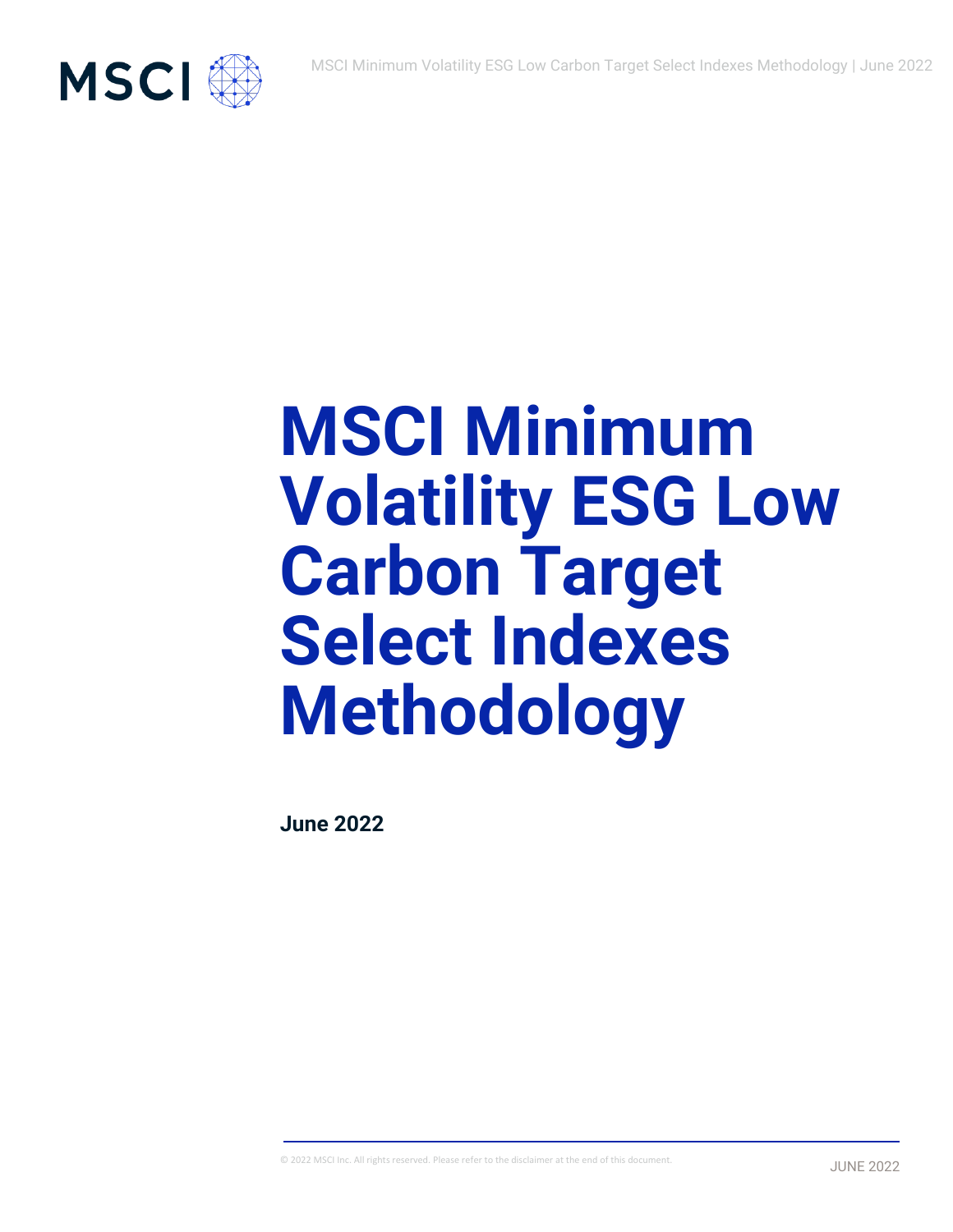

# **MSCI Minimum Volatility ESG Low Carbon Target Select Indexes Methodology**

**June 2022**

© 2022 MSCI Inc. All rights reserved. Please refer to the disclaimer at the end of this document.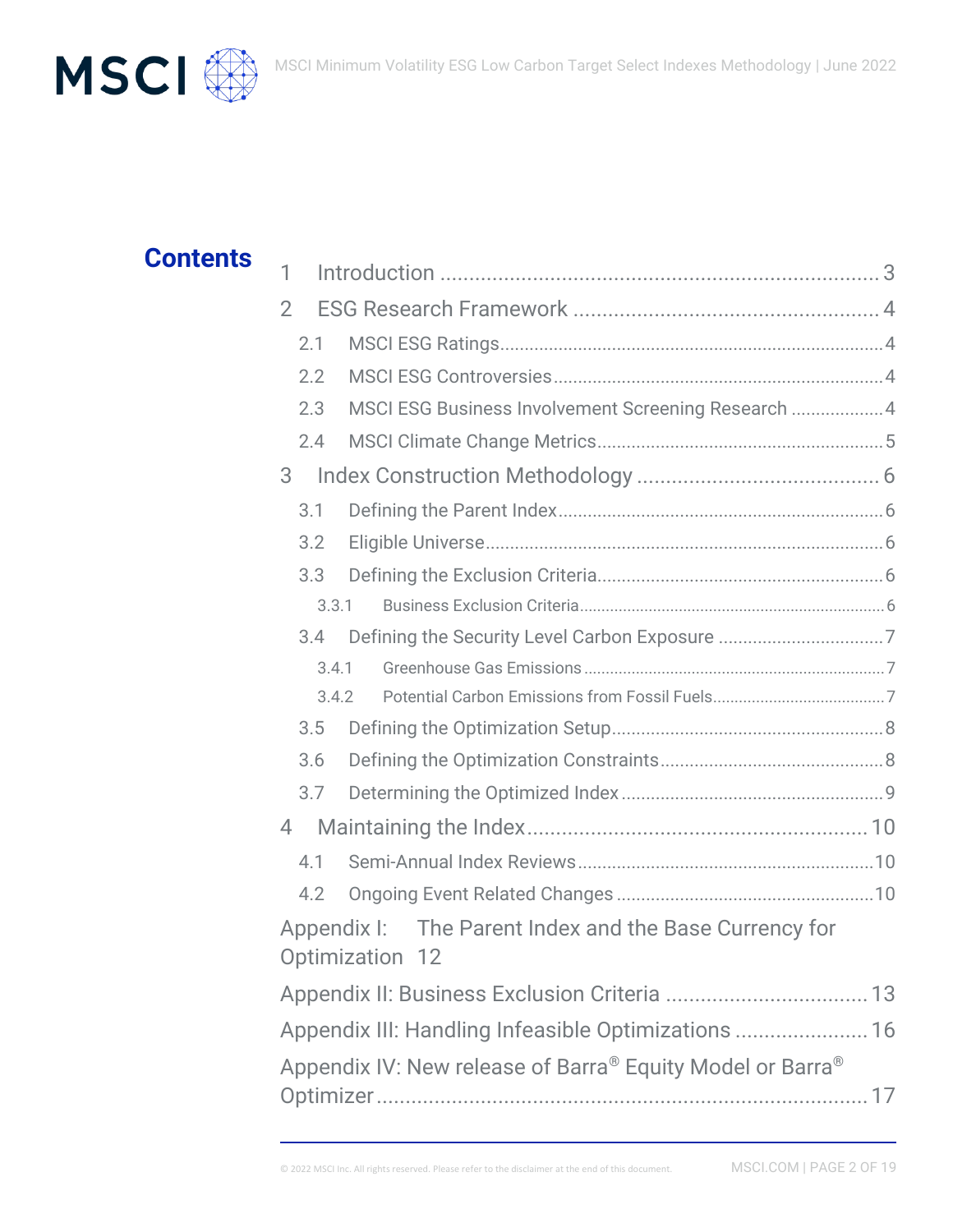



# **Contents**

| 1                                                         |       |                                                                           |  |
|-----------------------------------------------------------|-------|---------------------------------------------------------------------------|--|
| $\overline{2}$                                            |       |                                                                           |  |
|                                                           | 2.1   |                                                                           |  |
|                                                           | 2.2   |                                                                           |  |
|                                                           | 2.3   | MSCI ESG Business Involvement Screening Research  4                       |  |
|                                                           | 2.4   |                                                                           |  |
| 3                                                         |       |                                                                           |  |
|                                                           | 3.1   |                                                                           |  |
|                                                           | 3.2   |                                                                           |  |
|                                                           | 3.3   |                                                                           |  |
|                                                           | 3.3.1 |                                                                           |  |
|                                                           | 3.4   |                                                                           |  |
|                                                           | 3.4.1 |                                                                           |  |
|                                                           |       | 3.4.2                                                                     |  |
|                                                           | 3.5   |                                                                           |  |
|                                                           | 3.6   |                                                                           |  |
|                                                           | 3.7   |                                                                           |  |
| 4                                                         |       |                                                                           |  |
|                                                           | 4.1   |                                                                           |  |
|                                                           | 4.2   |                                                                           |  |
|                                                           |       | Appendix I: The Parent Index and the Base Currency for<br>Optimization 12 |  |
|                                                           |       |                                                                           |  |
| Appendix III: Handling Infeasible Optimizations  16       |       |                                                                           |  |
| Appendix IV: New release of Barra® Equity Model or Barra® |       |                                                                           |  |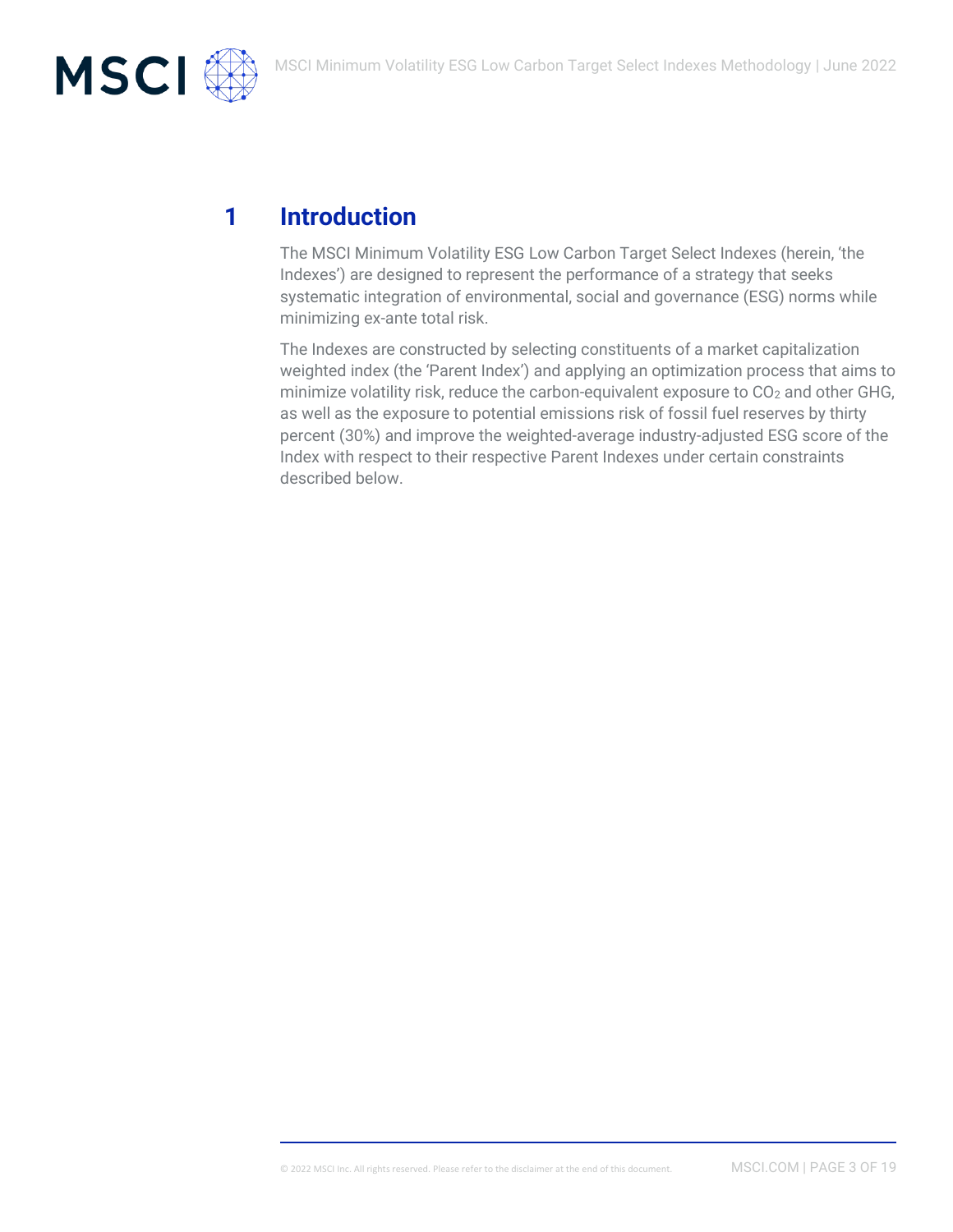

# **1 Introduction**

The MSCI Minimum Volatility ESG Low Carbon Target Select Indexes (herein, 'the Indexes') are designed to represent the performance of a strategy that seeks systematic integration of environmental, social and governance (ESG) norms while minimizing ex-ante total risk.

The Indexes are constructed by selecting constituents of a market capitalization weighted index (the 'Parent Index') and applying an optimization process that aims to minimize volatility risk, reduce the carbon-equivalent exposure to  $CO<sub>2</sub>$  and other GHG, as well as the exposure to potential emissions risk of fossil fuel reserves by thirty percent (30%) and improve the weighted-average industry-adjusted ESG score of the Index with respect to their respective Parent Indexes under certain constraints described below.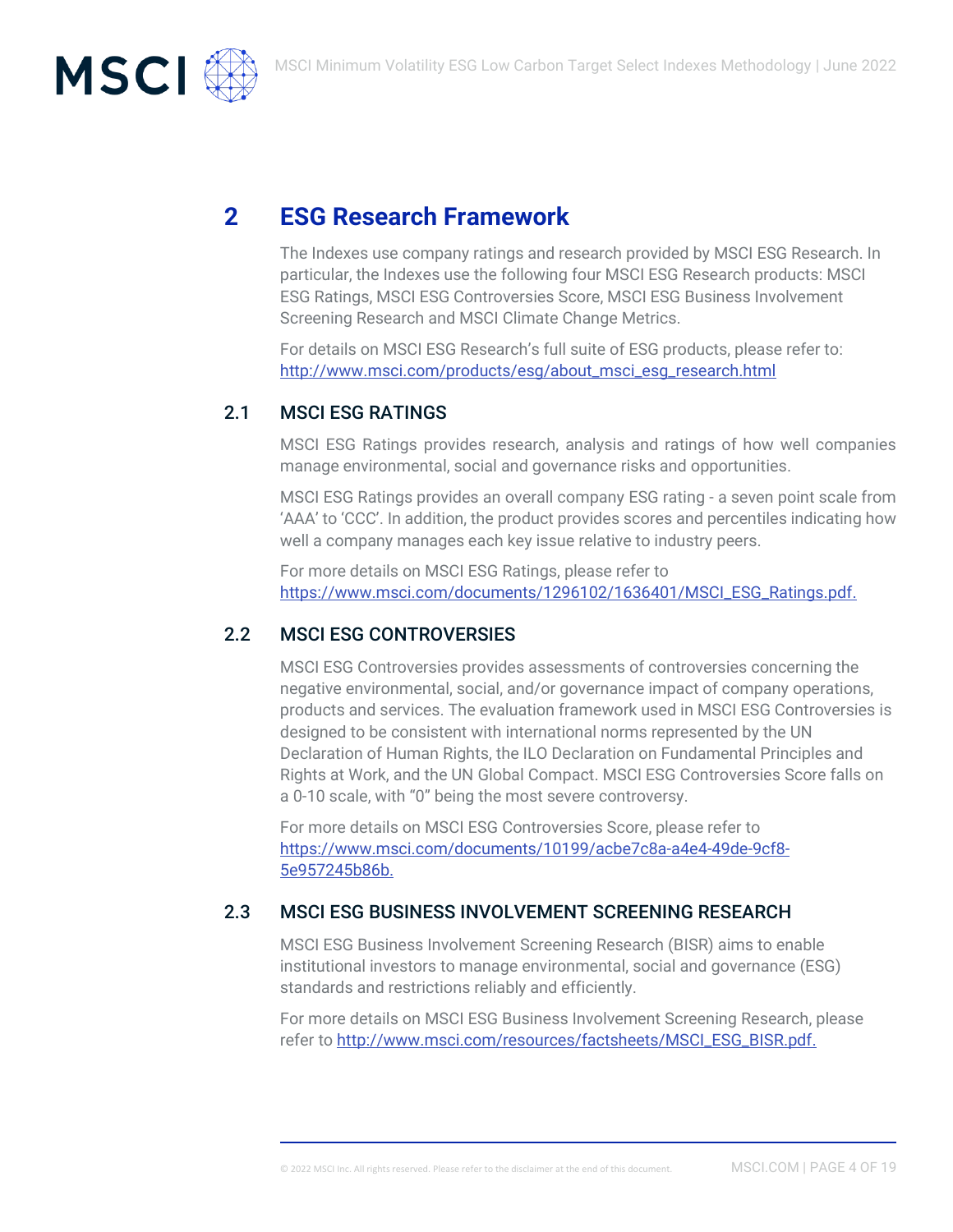

# **2 ESG Research Framework**

The Indexes use company ratings and research provided by MSCI ESG Research. In particular, the Indexes use the following four MSCI ESG Research products: MSCI ESG Ratings, MSCI ESG Controversies Score, MSCI ESG Business Involvement Screening Research and MSCI Climate Change Metrics.

For details on MSCI ESG Research's full suite of ESG products, please refer to: [http://www.msci.com/products/esg/about\\_msci\\_esg\\_research.html](http://www.msci.com/products/esg/about_msci_esg_research.html)

## 2.1 MSCI ESG RATINGS

MSCI ESG Ratings provides research, analysis and ratings of how well companies manage environmental, social and governance risks and opportunities.

MSCI ESG Ratings provides an overall company ESG rating - a seven point scale from 'AAA' to 'CCC'. In addition, the product provides scores and percentiles indicating how well a company manages each key issue relative to industry peers.

For more details on MSCI ESG Ratings, please refer to [https://www.msci.com/documents/1296102/1636401/MSCI\\_ESG\\_Ratings.pdf.](https://www.msci.com/documents/1296102/1636401/MSCI_ESG_Ratings.pdf)

## 2.2 MSCI ESG CONTROVERSIES

MSCI ESG Controversies provides assessments of controversies concerning the negative environmental, social, and/or governance impact of company operations, products and services. The evaluation framework used in MSCI ESG Controversies is designed to be consistent with international norms represented by the UN Declaration of Human Rights, the ILO Declaration on Fundamental Principles and Rights at Work, and the UN Global Compact. MSCI ESG Controversies Score falls on a 0-10 scale, with "0" being the most severe controversy.

For more details on MSCI ESG Controversies Score, please refer to [https://www.msci.com/documents/10199/acbe7c8a-a4e4-49de-9cf8-](https://www.msci.com/documents/10199/acbe7c8a-a4e4-49de-9cf8-5e957245b86b) [5e957245b86b.](https://www.msci.com/documents/10199/acbe7c8a-a4e4-49de-9cf8-5e957245b86b)

## 2.3 MSCI ESG BUSINESS INVOLVEMENT SCREENING RESEARCH

MSCI ESG Business Involvement Screening Research (BISR) aims to enable institutional investors to manage environmental, social and governance (ESG) standards and restrictions reliably and efficiently.

For more details on MSCI ESG Business Involvement Screening Research, please refer to [http://www.msci.com/resources/factsheets/MSCI\\_ESG\\_BISR.pdf.](http://www.msci.com/resources/factsheets/MSCI_ESG_BISR.pdf)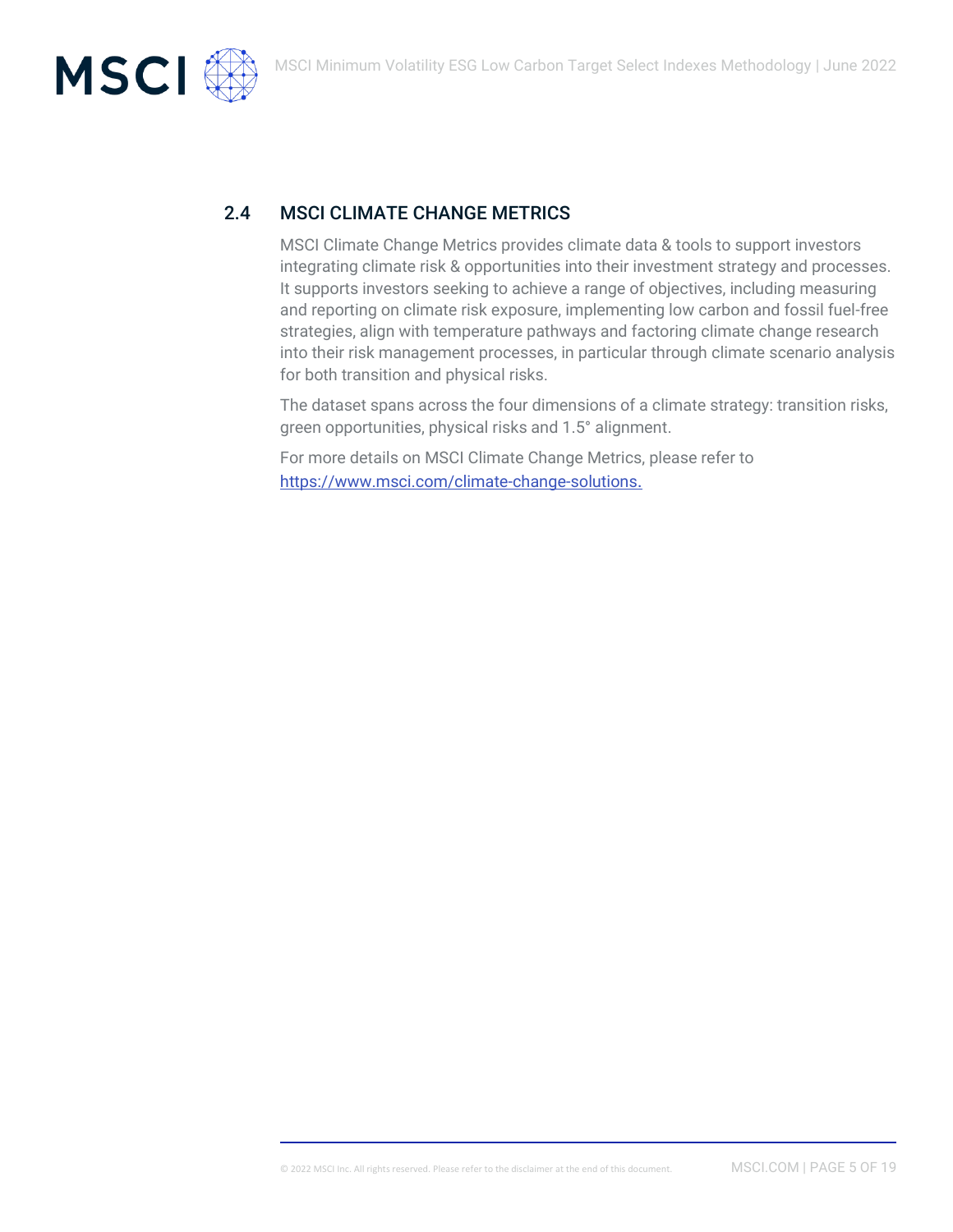



MSCI Climate Change Metrics provides climate data & tools to support investors integrating climate risk & opportunities into their investment strategy and processes. It supports investors seeking to achieve a range of objectives, including measuring and reporting on climate risk exposure, implementing low carbon and fossil fuel-free strategies, align with temperature pathways and factoring climate change research into their risk management processes, in particular through climate scenario analysis for both transition and physical risks.

The dataset spans across the four dimensions of a climate strategy: transition risks, green opportunities, physical risks and 1.5° alignment.

For more details on MSCI Climate Change Metrics, please refer to <https://www.msci.com/climate-change-solutions>.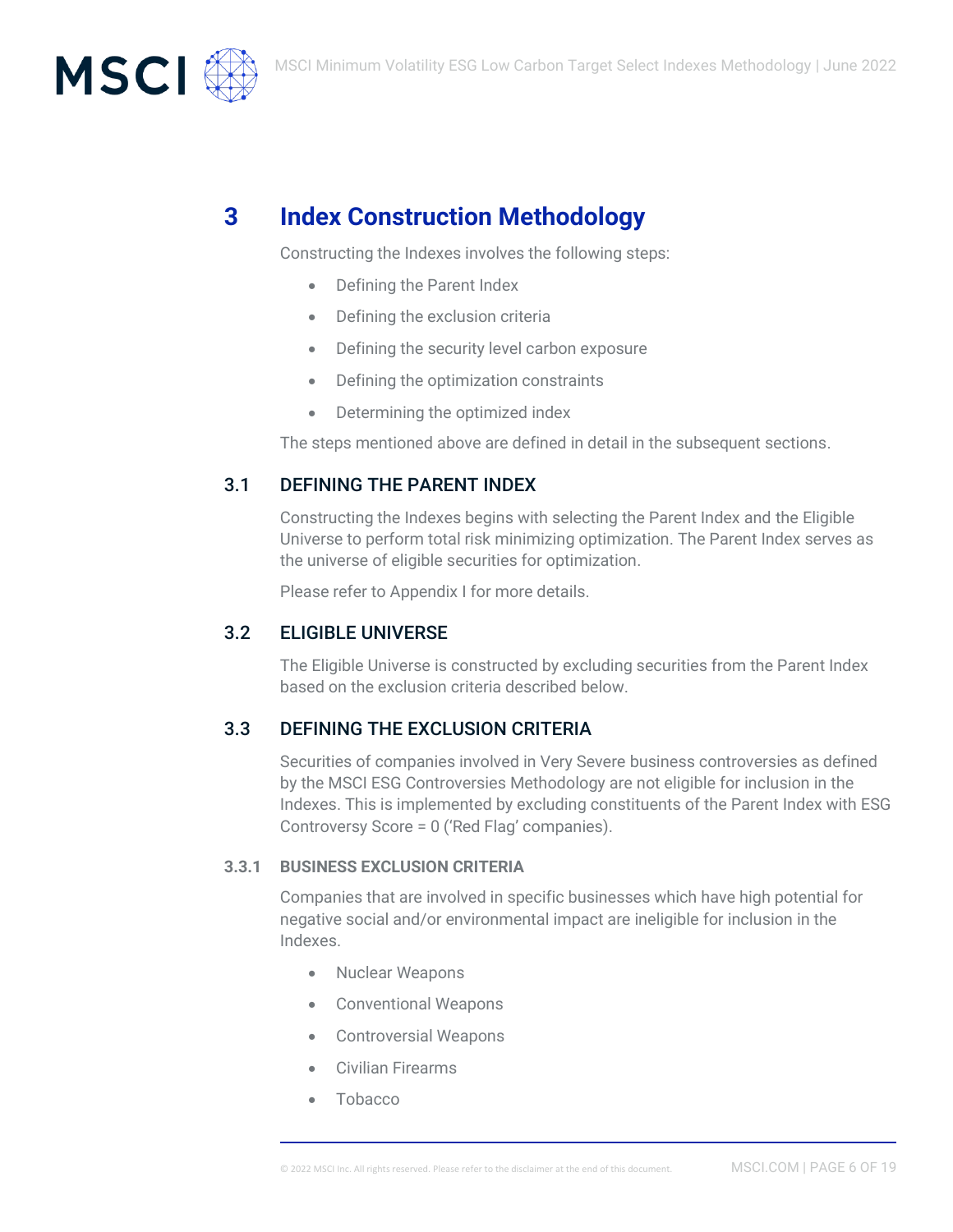

# **3 Index Construction Methodology**

Constructing the Indexes involves the following steps:

- Defining the Parent Index
- Defining the exclusion criteria
- Defining the security level carbon exposure
- Defining the optimization constraints
- Determining the optimized index

The steps mentioned above are defined in detail in the subsequent sections.

## 3.1 DEFINING THE PARENT INDEX

Constructing the Indexes begins with selecting the Parent Index and the Eligible Universe to perform total risk minimizing optimization. The Parent Index serves as the universe of eligible securities for optimization.

Please refer to Appendix I for more details.

## 3.2 ELIGIBLE UNIVERSE

The Eligible Universe is constructed by excluding securities from the Parent Index based on the exclusion criteria described below.

## 3.3 DEFINING THE EXCLUSION CRITERIA

Securities of companies involved in Very Severe business controversies as defined by the MSCI ESG Controversies Methodology are not eligible for inclusion in the Indexes. This is implemented by excluding constituents of the Parent Index with ESG Controversy Score = 0 ('Red Flag' companies).

#### **3.3.1 BUSINESS EXCLUSION CRITERIA**

Companies that are involved in specific businesses which have high potential for negative social and/or environmental impact are ineligible for inclusion in the Indexes.

- Nuclear Weapons
- Conventional Weapons
- Controversial Weapons
- Civilian Firearms
- Tobacco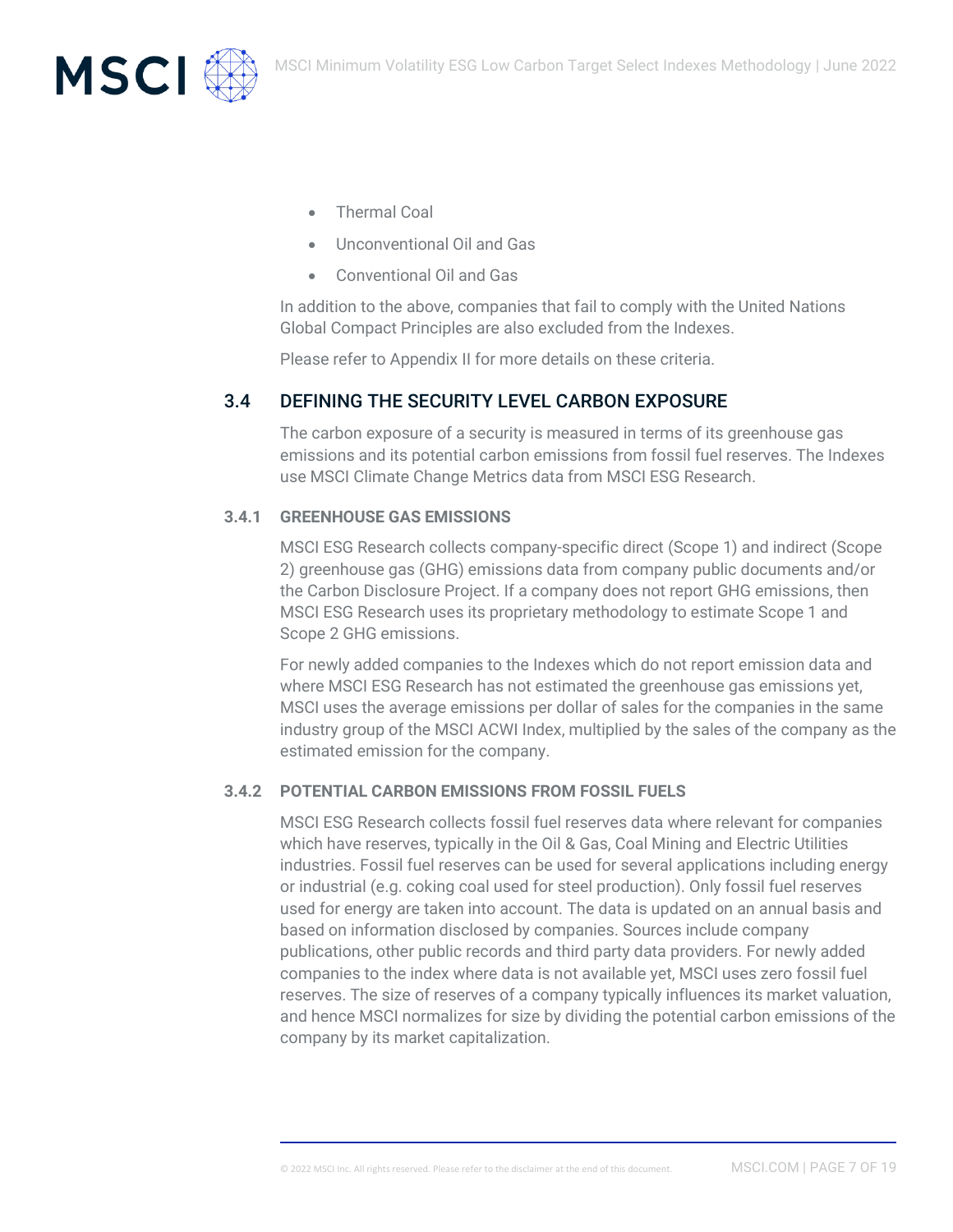

- Thermal Coal
- Unconventional Oil and Gas
- Conventional Oil and Gas

In addition to the above, companies that fail to comply with the United Nations Global Compact Principles are also excluded from the Indexes.

Please refer to Appendix II for more details on these criteria.

## 3.4 DEFINING THE SECURITY LEVEL CARBON EXPOSURE

The carbon exposure of a security is measured in terms of its greenhouse gas emissions and its potential carbon emissions from fossil fuel reserves. The Indexes use MSCI Climate Change Metrics data from MSCI ESG Research.

#### **3.4.1 GREENHOUSE GAS EMISSIONS**

MSCI ESG Research collects company-specific direct (Scope 1) and indirect (Scope 2) greenhouse gas (GHG) emissions data from company public documents and/or the Carbon Disclosure Project. If a company does not report GHG emissions, then MSCI ESG Research uses its proprietary methodology to estimate Scope 1 and Scope 2 GHG emissions.

For newly added companies to the Indexes which do not report emission data and where MSCI ESG Research has not estimated the greenhouse gas emissions yet, MSCI uses the average emissions per dollar of sales for the companies in the same industry group of the MSCI ACWI Index, multiplied by the sales of the company as the estimated emission for the company.

#### **3.4.2 POTENTIAL CARBON EMISSIONS FROM FOSSIL FUELS**

MSCI ESG Research collects fossil fuel reserves data where relevant for companies which have reserves, typically in the Oil & Gas, Coal Mining and Electric Utilities industries. Fossil fuel reserves can be used for several applications including energy or industrial (e.g. coking coal used for steel production). Only fossil fuel reserves used for energy are taken into account. The data is updated on an annual basis and based on information disclosed by companies. Sources include company publications, other public records and third party data providers. For newly added companies to the index where data is not available yet, MSCI uses zero fossil fuel reserves. The size of reserves of a company typically influences its market valuation, and hence MSCI normalizes for size by dividing the potential carbon emissions of the company by its market capitalization.

© 2022 MSCI Inc. All rights reserved. Please refer to the disclaimer at the end of this document. MSCI.COM | PAGE 7 OF 19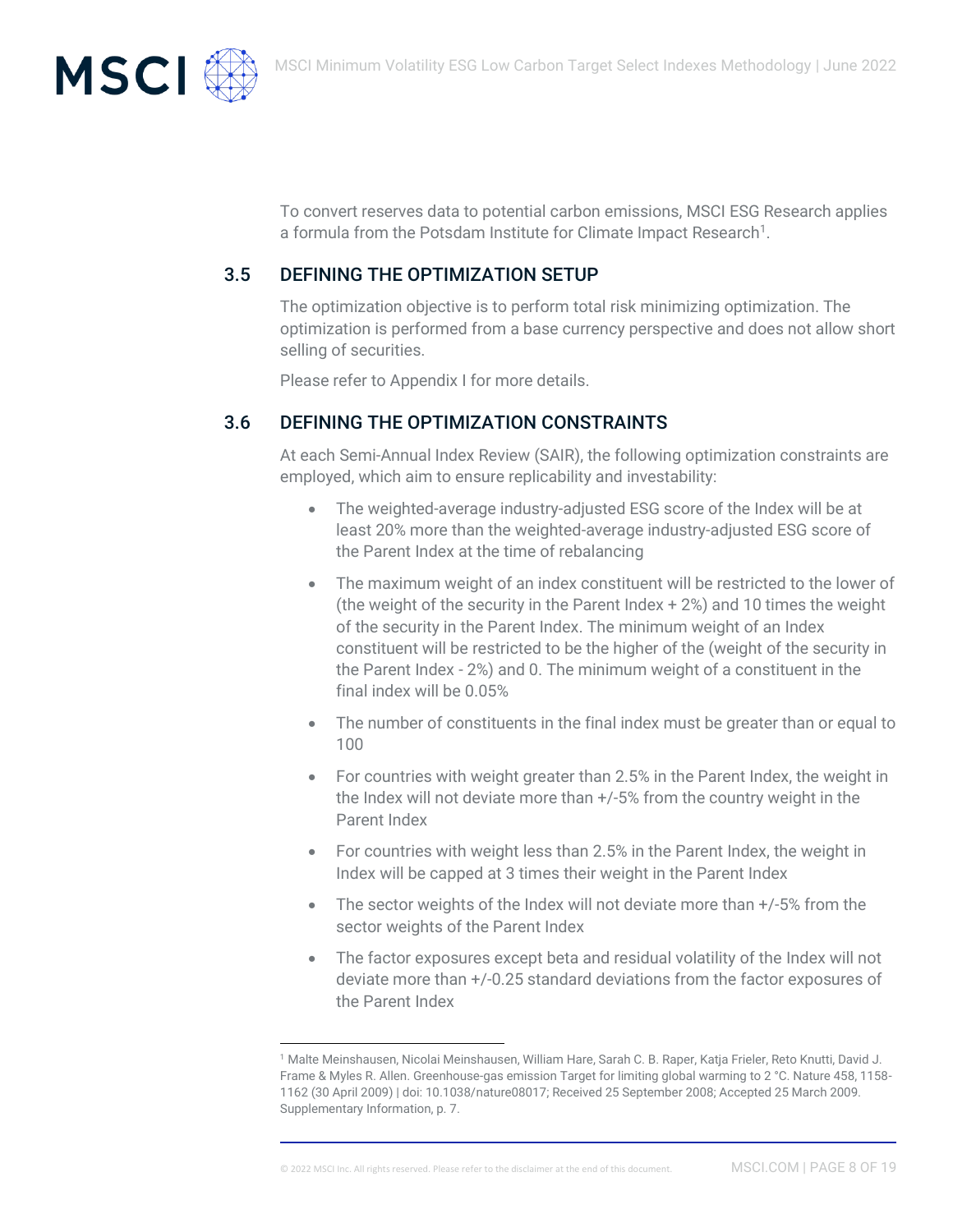

To convert reserves data to potential carbon emissions, MSCI ESG Research applies a formula from the Potsdam Institute for Climate Impact Research<sup>1</sup>.

## 3.5 DEFINING THE OPTIMIZATION SETUP

The optimization objective is to perform total risk minimizing optimization. The optimization is performed from a base currency perspective and does not allow short selling of securities.

Please refer to Appendix I for more details.

## 3.6 DEFINING THE OPTIMIZATION CONSTRAINTS

At each Semi-Annual Index Review (SAIR), the following optimization constraints are employed, which aim to ensure replicability and investability:

- The weighted-average industry-adjusted ESG score of the Index will be at least 20% more than the weighted-average industry-adjusted ESG score of the Parent Index at the time of rebalancing
- The maximum weight of an index constituent will be restricted to the lower of (the weight of the security in the Parent Index + 2%) and 10 times the weight of the security in the Parent Index. The minimum weight of an Index constituent will be restricted to be the higher of the (weight of the security in the Parent Index - 2%) and 0. The minimum weight of a constituent in the final index will be 0.05%
- The number of constituents in the final index must be greater than or equal to 100
- For countries with weight greater than 2.5% in the Parent Index, the weight in the Index will not deviate more than +/-5% from the country weight in the Parent Index
- For countries with weight less than 2.5% in the Parent Index, the weight in Index will be capped at 3 times their weight in the Parent Index
- The sector weights of the Index will not deviate more than  $+/-5%$  from the sector weights of the Parent Index
- The factor exposures except beta and residual volatility of the Index will not deviate more than +/-0.25 standard deviations from the factor exposures of the Parent Index

<sup>1</sup> Malte Meinshausen, Nicolai Meinshausen, William Hare, Sarah C. B. Raper, Katja Frieler, Reto Knutti, David J. Frame & Myles R. Allen. Greenhouse-gas emission Target for limiting global warming to 2 °C. Nature 458, 1158- 1162 (30 April 2009) | doi: 10.1038/nature08017; Received 25 September 2008; Accepted 25 March 2009. Supplementary Information, p. 7.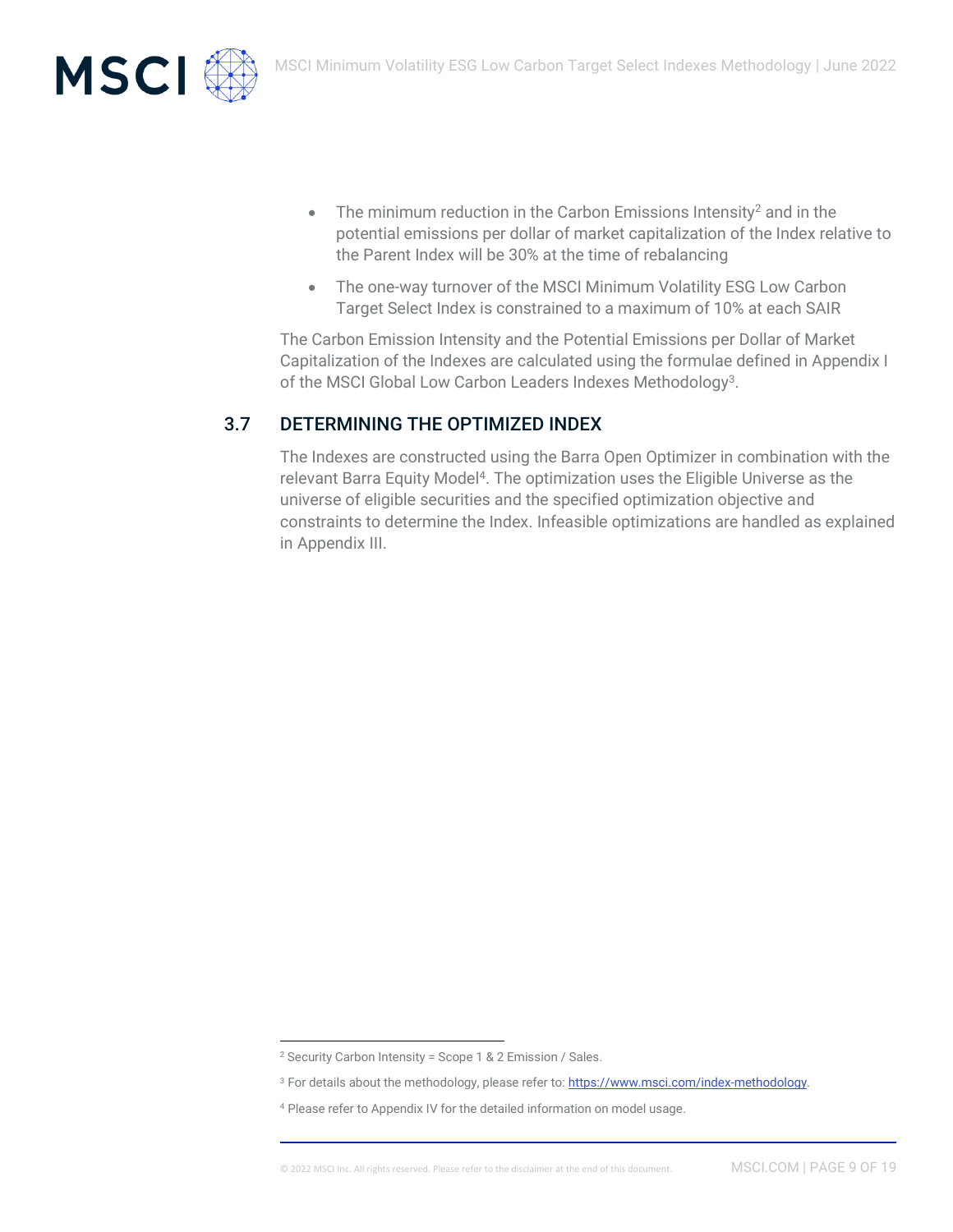



- The minimum reduction in the Carbon Emissions Intensity<sup>2</sup> and in the potential emissions per dollar of market capitalization of the Index relative to the Parent Index will be 30% at the time of rebalancing
- The one-way turnover of the MSCI Minimum Volatility ESG Low Carbon Target Select Index is constrained to a maximum of 10% at each SAIR

The Carbon Emission Intensity and the Potential Emissions per Dollar of Market Capitalization of the Indexes are calculated using the formulae defined in Appendix I of the MSCI Global Low Carbon Leaders Indexes Methodology<sup>3</sup>.

## 3.7 DETERMINING THE OPTIMIZED INDEX

The Indexes are constructed using the Barra Open Optimizer in combination with the relevant Barra Equity Model<sup>4</sup>. The optimization uses the Eligible Universe as the universe of eligible securities and the specified optimization objective and constraints to determine the Index. Infeasible optimizations are handled as explained in Appendix III.

<sup>2</sup> Security Carbon Intensity = Scope 1 & 2 Emission / Sales.

<sup>&</sup>lt;sup>3</sup> For details about the methodology, please refer to[: https://www.msci.com/index-methodology.](https://www.msci.com/index-methodology)

<sup>4</sup> Please refer to Appendix IV for the detailed information on model usage.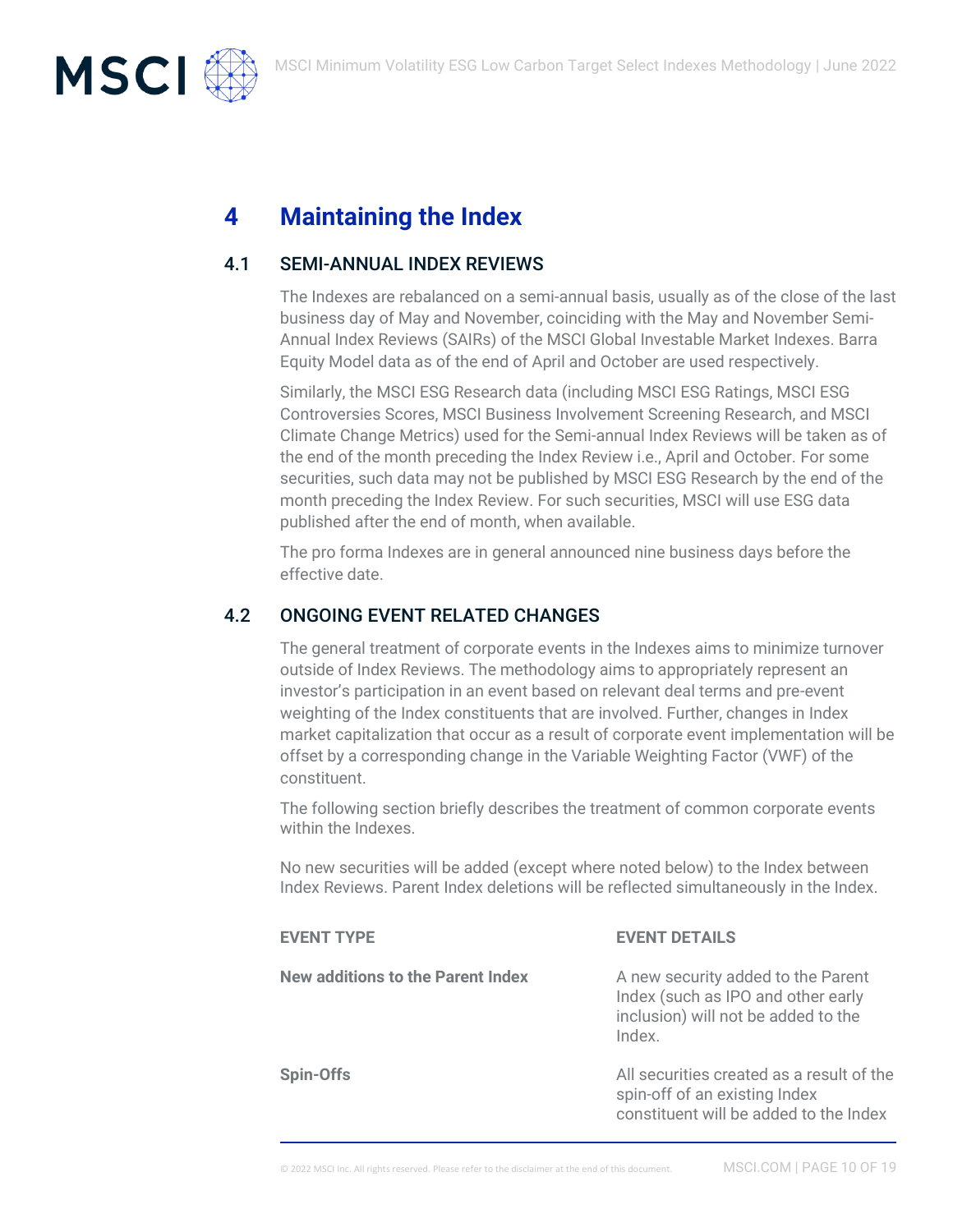

# **4 Maintaining the Index**

## 4.1 SEMI-ANNUAL INDEX REVIEWS

The Indexes are rebalanced on a semi-annual basis, usually as of the close of the last business day of May and November, coinciding with the May and November Semi-Annual Index Reviews (SAIRs) of the MSCI Global Investable Market Indexes. Barra Equity Model data as of the end of April and October are used respectively.

Similarly, the MSCI ESG Research data (including MSCI ESG Ratings, MSCI ESG Controversies Scores, MSCI Business Involvement Screening Research, and MSCI Climate Change Metrics) used for the Semi-annual Index Reviews will be taken as of the end of the month preceding the Index Review i.e., April and October. For some securities, such data may not be published by MSCI ESG Research by the end of the month preceding the Index Review. For such securities, MSCI will use ESG data published after the end of month, when available.

The pro forma Indexes are in general announced nine business days before the effective date.

## 4.2 ONGOING EVENT RELATED CHANGES

The general treatment of corporate events in the Indexes aims to minimize turnover outside of Index Reviews. The methodology aims to appropriately represent an investor's participation in an event based on relevant deal terms and pre-event weighting of the Index constituents that are involved. Further, changes in Index market capitalization that occur as a result of corporate event implementation will be offset by a corresponding change in the Variable Weighting Factor (VWF) of the constituent.

The following section briefly describes the treatment of common corporate events within the Indexes.

No new securities will be added (except where noted below) to the Index between Index Reviews. Parent Index deletions will be reflected simultaneously in the Index.

| <b>EVENT TYPE</b>                        | <b>EVENT DETAILS</b>                                                                                                      |
|------------------------------------------|---------------------------------------------------------------------------------------------------------------------------|
| <b>New additions to the Parent Index</b> | A new security added to the Parent<br>Index (such as IPO and other early<br>inclusion) will not be added to the<br>Index. |
| Spin-Offs                                | All securities created as a result of the<br>spin-off of an existing Index<br>constituent will be added to the Index      |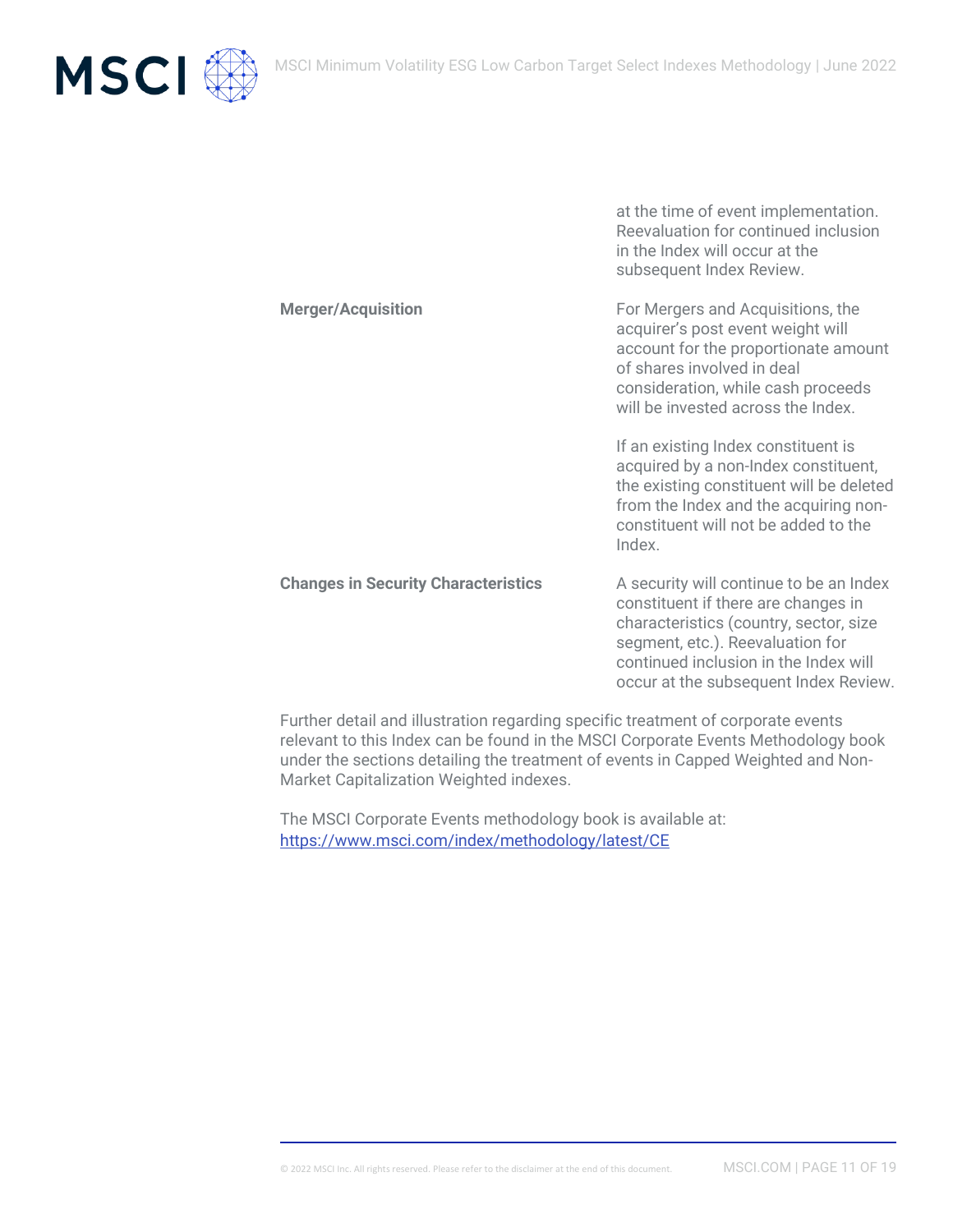

at the time of event implementation. Reevaluation for continued inclusion in the Index will occur at the subsequent Index Review.

**Merger/Acquisition** For Mergers and Acquisitions, the acquirer's post event weight will account for the proportionate amount of shares involved in deal consideration, while cash proceeds will be invested across the Index. If an existing Index constituent is acquired by a non-Index constituent, the existing constituent will be deleted from the Index and the acquiring nonconstituent will not be added to the Index. **Changes in Security Characteristics** A security will continue to be an Index constituent if there are changes in characteristics (country, sector, size segment, etc.). Reevaluation for continued inclusion in the Index will occur at the subsequent Index Review.

Further detail and illustration regarding specific treatment of corporate events relevant to this Index can be found in the MSCI Corporate Events Methodology book under the sections detailing the treatment of events in Capped Weighted and Non-Market Capitalization Weighted indexes.

The MSCI Corporate Events methodology book is available at: <https://www.msci.com/index/methodology/latest/CE>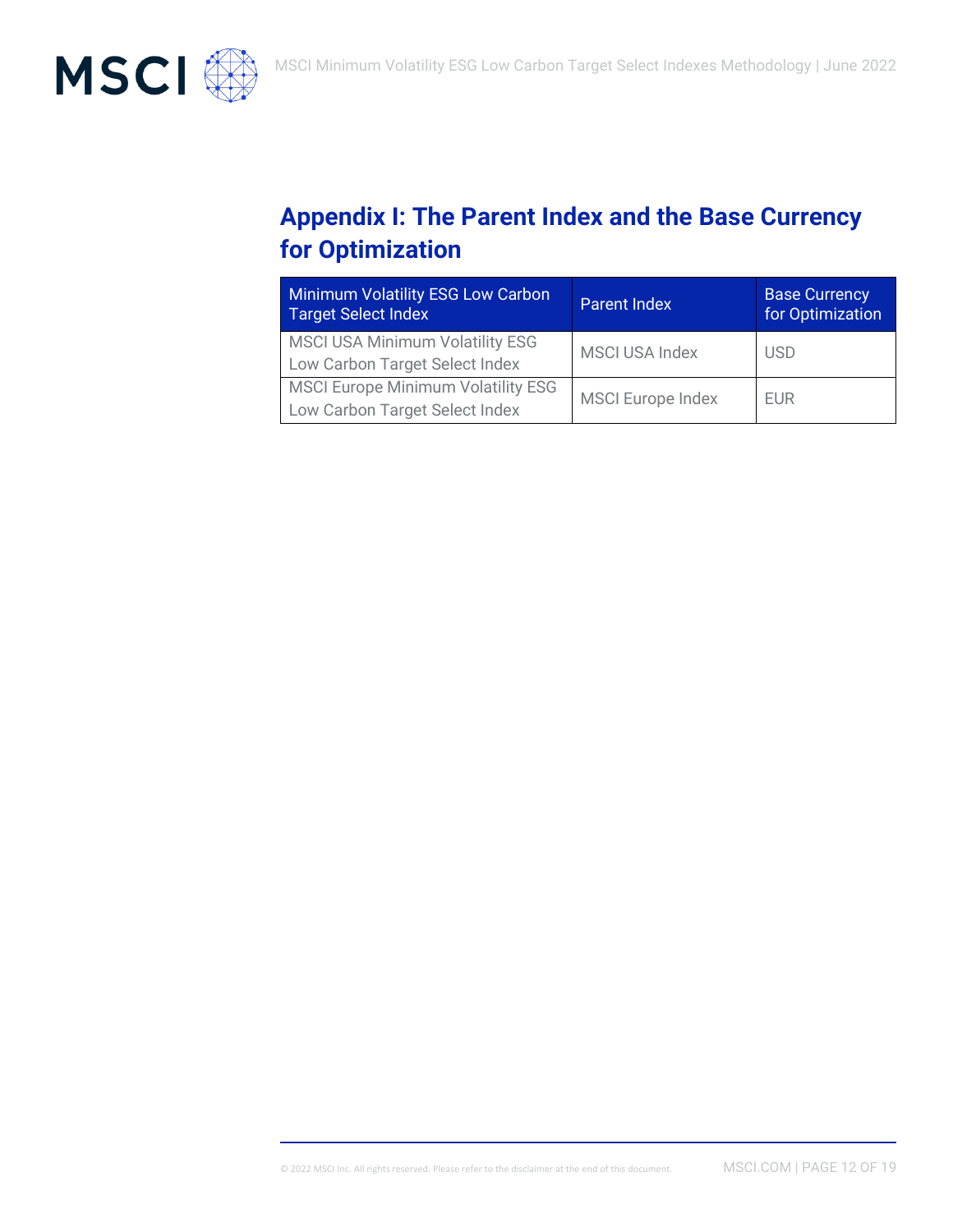

# **Appendix I: The Parent Index and the Base Currency for Optimization**

| <b>Minimum Volatility ESG Low Carbon</b><br><b>Target Select Index</b>      | <b>Parent Index</b>      | <b>Base Currency</b><br>for Optimization |
|-----------------------------------------------------------------------------|--------------------------|------------------------------------------|
| <b>MSCI USA Minimum Volatility ESG</b><br>Low Carbon Target Select Index    | <b>MSCI USA Index</b>    | <b>USD</b>                               |
| <b>MSCI Europe Minimum Volatility ESG</b><br>Low Carbon Target Select Index | <b>MSCI Europe Index</b> | <b>EUR</b>                               |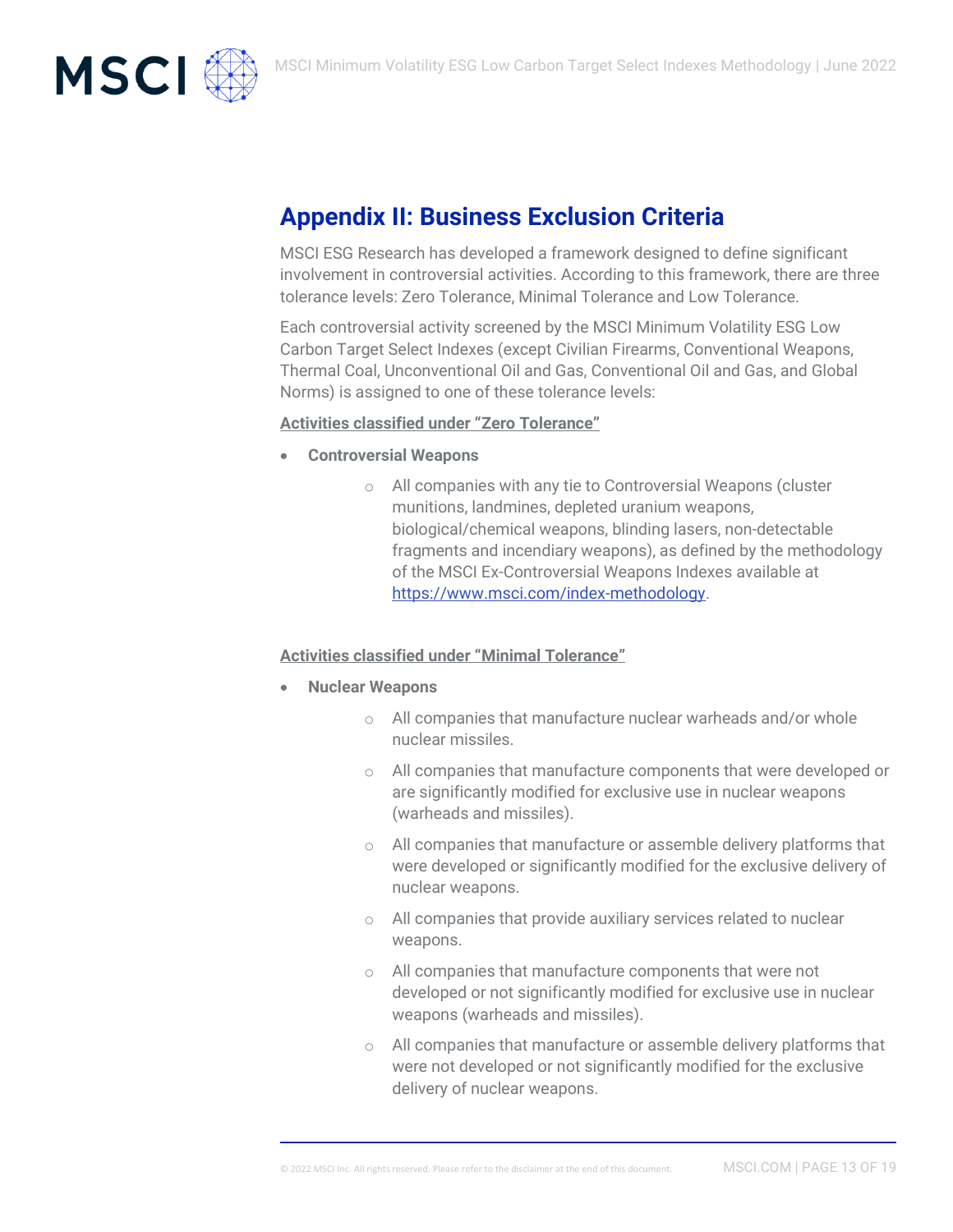

# **Appendix II: Business Exclusion Criteria**

MSCI ESG Research has developed a framework designed to define significant involvement in controversial activities. According to this framework, there are three tolerance levels: Zero Tolerance, Minimal Tolerance and Low Tolerance.

Each controversial activity screened by the MSCI Minimum Volatility ESG Low Carbon Target Select Indexes (except Civilian Firearms, Conventional Weapons, Thermal Coal, Unconventional Oil and Gas, Conventional Oil and Gas, and Global Norms) is assigned to one of these tolerance levels:

#### **Activities classified under "Zero Tolerance"**

- **Controversial Weapons**
	- o All companies with any tie to Controversial Weapons (cluster munitions, landmines, depleted uranium weapons, biological/chemical weapons, blinding lasers, non-detectable fragments and incendiary weapons), as defined by the methodology of the MSCI Ex-Controversial Weapons Indexes available at [https://www.msci.com/index-methodology.](https://www.msci.com/index-methodology)

#### **Activities classified under "Minimal Tolerance"**

- **Nuclear Weapons**
	- o All companies that manufacture nuclear warheads and/or whole nuclear missiles.
	- o All companies that manufacture components that were developed or are significantly modified for exclusive use in nuclear weapons (warheads and missiles).
	- o All companies that manufacture or assemble delivery platforms that were developed or significantly modified for the exclusive delivery of nuclear weapons.
	- o All companies that provide auxiliary services related to nuclear weapons.
	- o All companies that manufacture components that were not developed or not significantly modified for exclusive use in nuclear weapons (warheads and missiles).
	- $\circ$  All companies that manufacture or assemble delivery platforms that were not developed or not significantly modified for the exclusive delivery of nuclear weapons.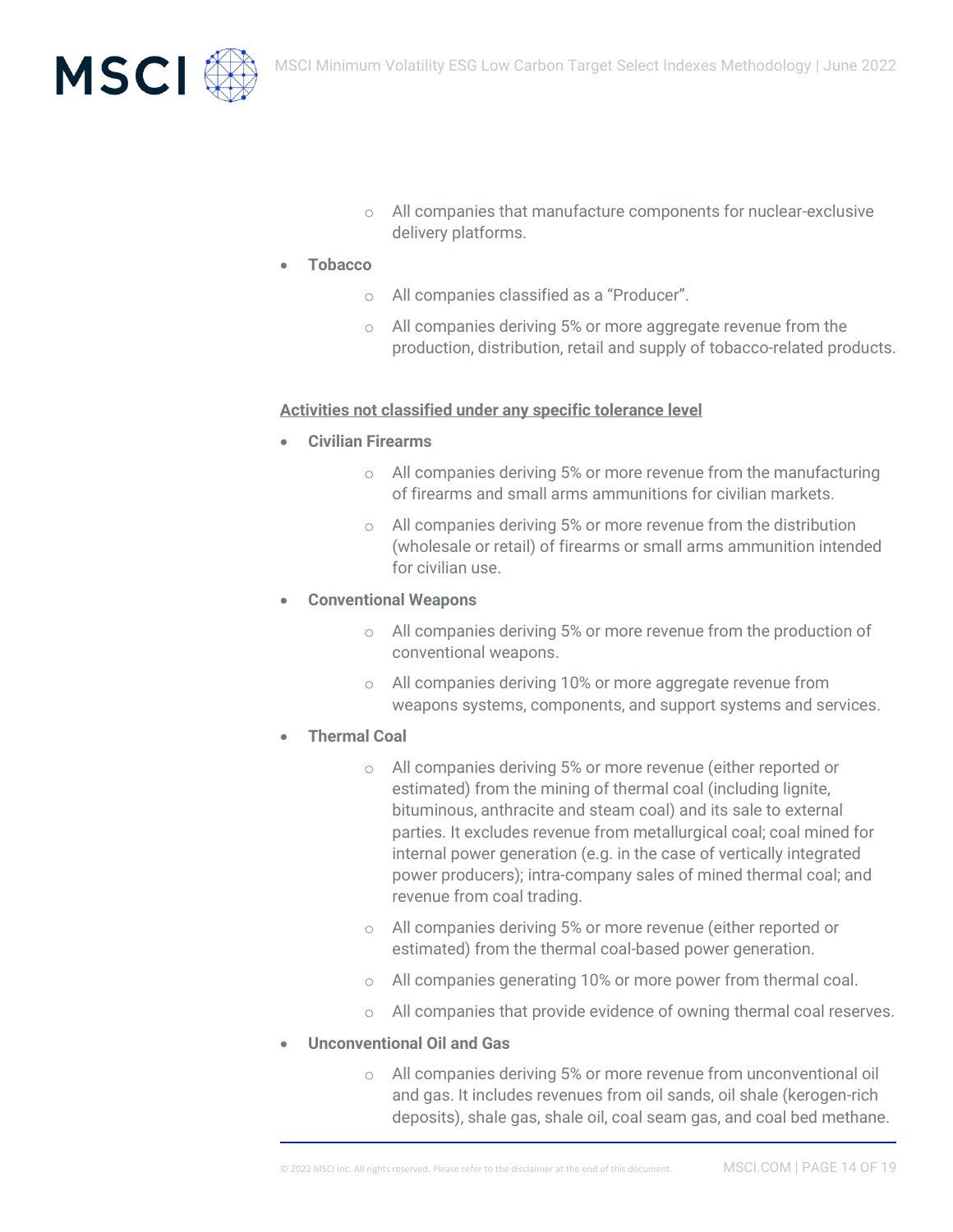

- o All companies that manufacture components for nuclear-exclusive delivery platforms.
- **Tobacco** 
	- o All companies classified as a "Producer".
	- o All companies deriving 5% or more aggregate revenue from the production, distribution, retail and supply of tobacco-related products.

#### **Activities not classified under any specific tolerance level**

- **Civilian Firearms**
	- o All companies deriving 5% or more revenue from the manufacturing of firearms and small arms ammunitions for civilian markets.
	- o All companies deriving 5% or more revenue from the distribution (wholesale or retail) of firearms or small arms ammunition intended for civilian use.
- **Conventional Weapons** 
	- o All companies deriving 5% or more revenue from the production of conventional weapons.
	- o All companies deriving 10% or more aggregate revenue from weapons systems, components, and support systems and services.
- **Thermal Coal** 
	- o All companies deriving 5% or more revenue (either reported or estimated) from the mining of thermal coal (including lignite, bituminous, anthracite and steam coal) and its sale to external parties. It excludes revenue from metallurgical coal; coal mined for internal power generation (e.g. in the case of vertically integrated power producers); intra-company sales of mined thermal coal; and revenue from coal trading.
	- o All companies deriving 5% or more revenue (either reported or estimated) from the thermal coal-based power generation.
	- All companies generating 10% or more power from thermal coal.
	- o All companies that provide evidence of owning thermal coal reserves.
- **Unconventional Oil and Gas**
	- o All companies deriving 5% or more revenue from unconventional oil and gas. It includes revenues from oil sands, oil shale (kerogen-rich deposits), shale gas, shale oil, coal seam gas, and coal bed methane.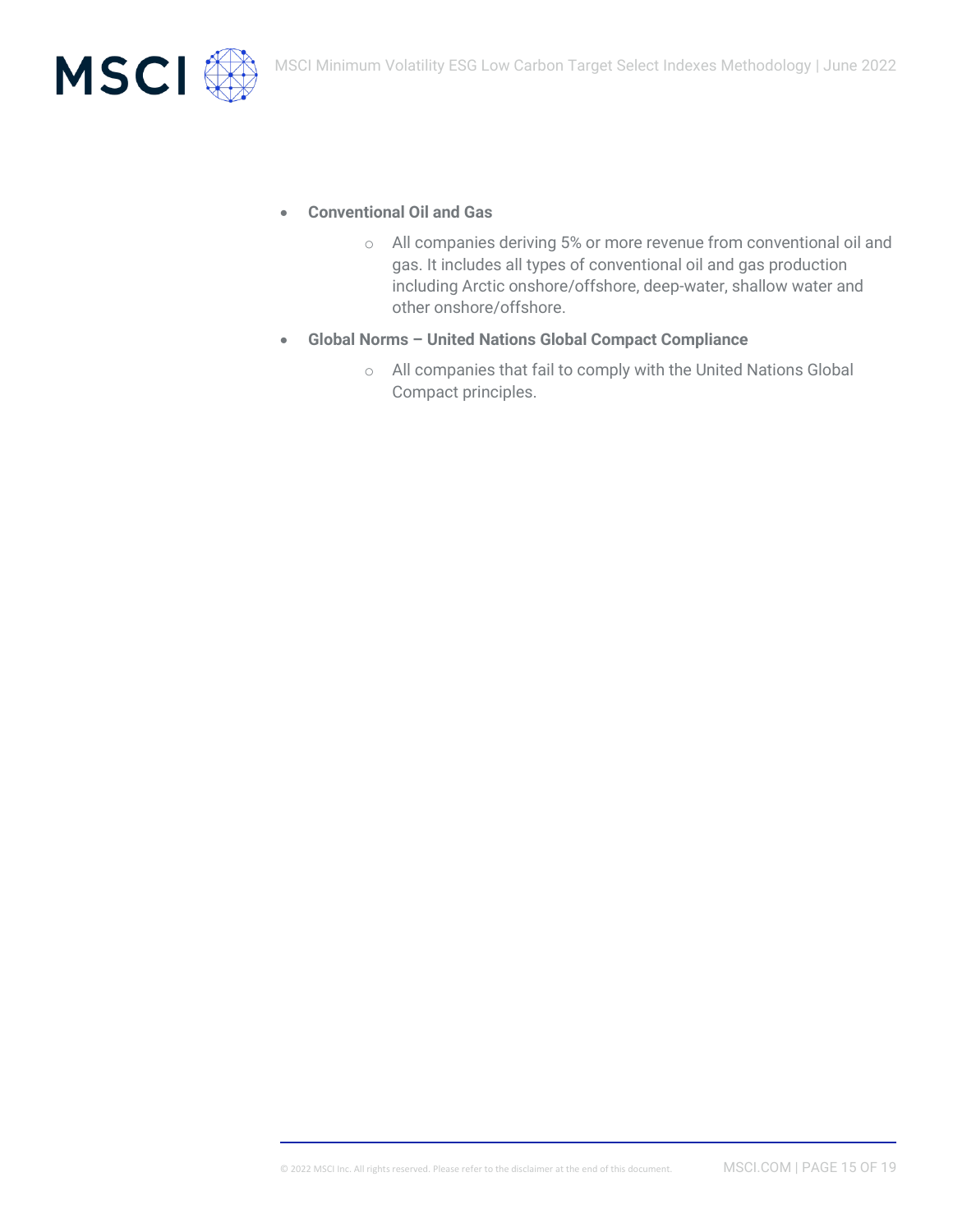

- **Conventional Oil and Gas**
	- o All companies deriving 5% or more revenue from conventional oil and gas. It includes all types of conventional oil and gas production including Arctic onshore/offshore, deep-water, shallow water and other onshore/offshore.
- **Global Norms – United Nations Global Compact Compliance**
	- o All companies that fail to comply with the United Nations Global Compact principles.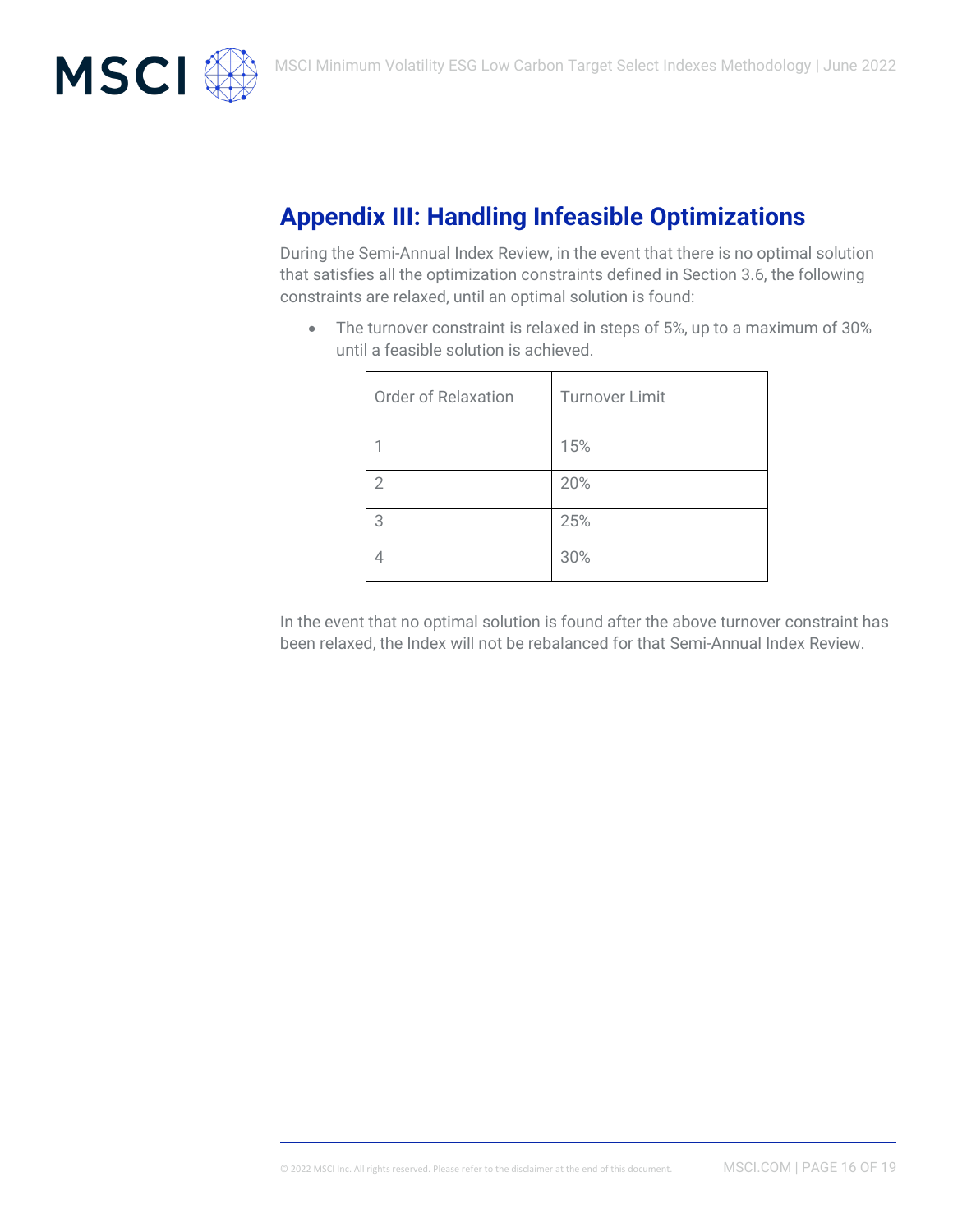

# **Appendix III: Handling Infeasible Optimizations**

During the Semi-Annual Index Review, in the event that there is no optimal solution that satisfies all the optimization constraints defined in Section 3.6, the following constraints are relaxed, until an optimal solution is found:

• The turnover constraint is relaxed in steps of 5%, up to a maximum of 30% until a feasible solution is achieved.

| <b>Order of Relaxation</b> | <b>Turnover Limit</b> |
|----------------------------|-----------------------|
|                            | 15%                   |
| $\mathfrak{D}$             | 20%                   |
| 3                          | 25%                   |
|                            | 30%                   |

In the event that no optimal solution is found after the above turnover constraint has been relaxed, the Index will not be rebalanced for that Semi-Annual Index Review.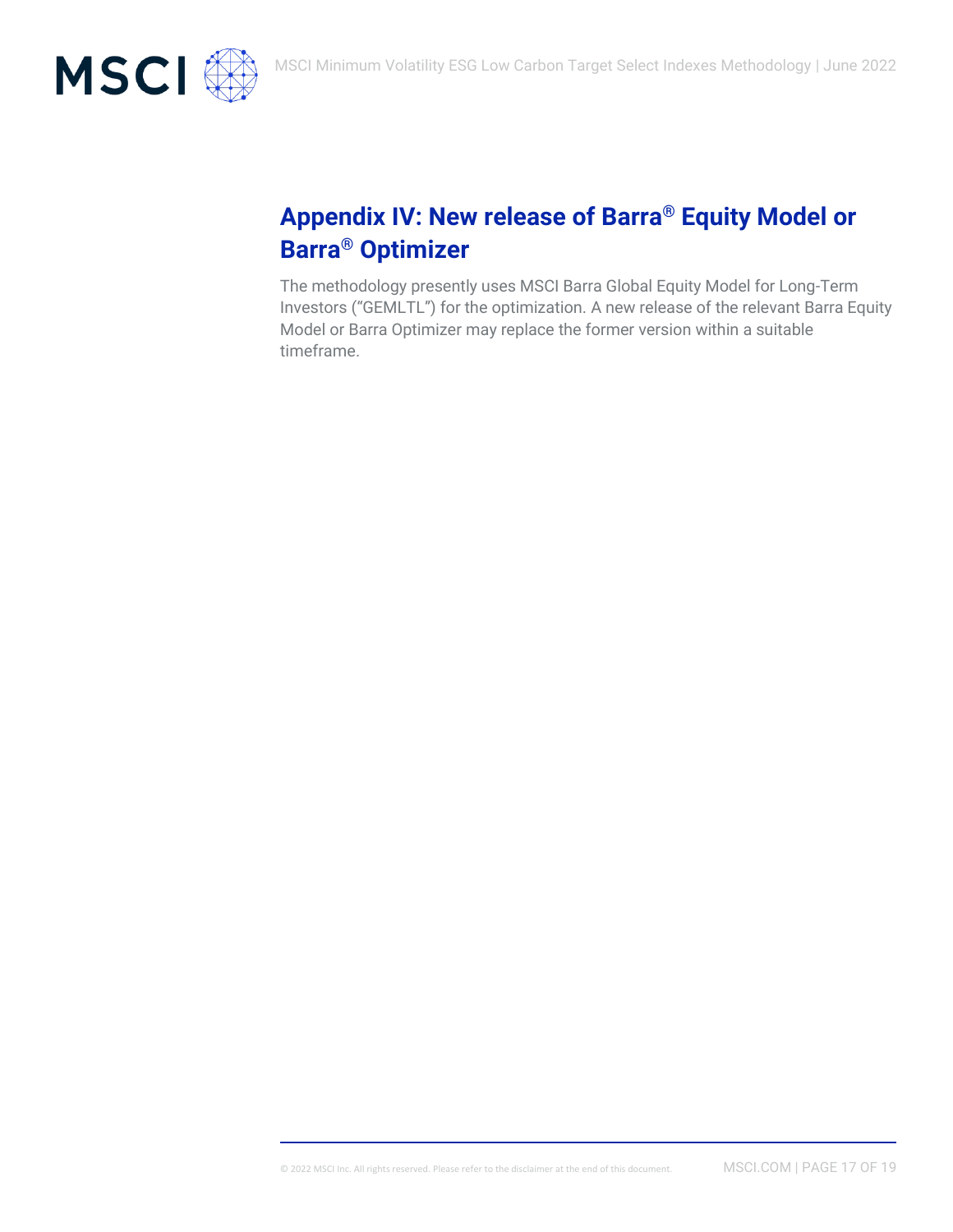

# **Appendix IV: New release of Barra® Equity Model or Barra® Optimizer**

The methodology presently uses MSCI Barra Global Equity Model for Long-Term Investors ("GEMLTL") for the optimization. A new release of the relevant Barra Equity Model or Barra Optimizer may replace the former version within a suitable timeframe.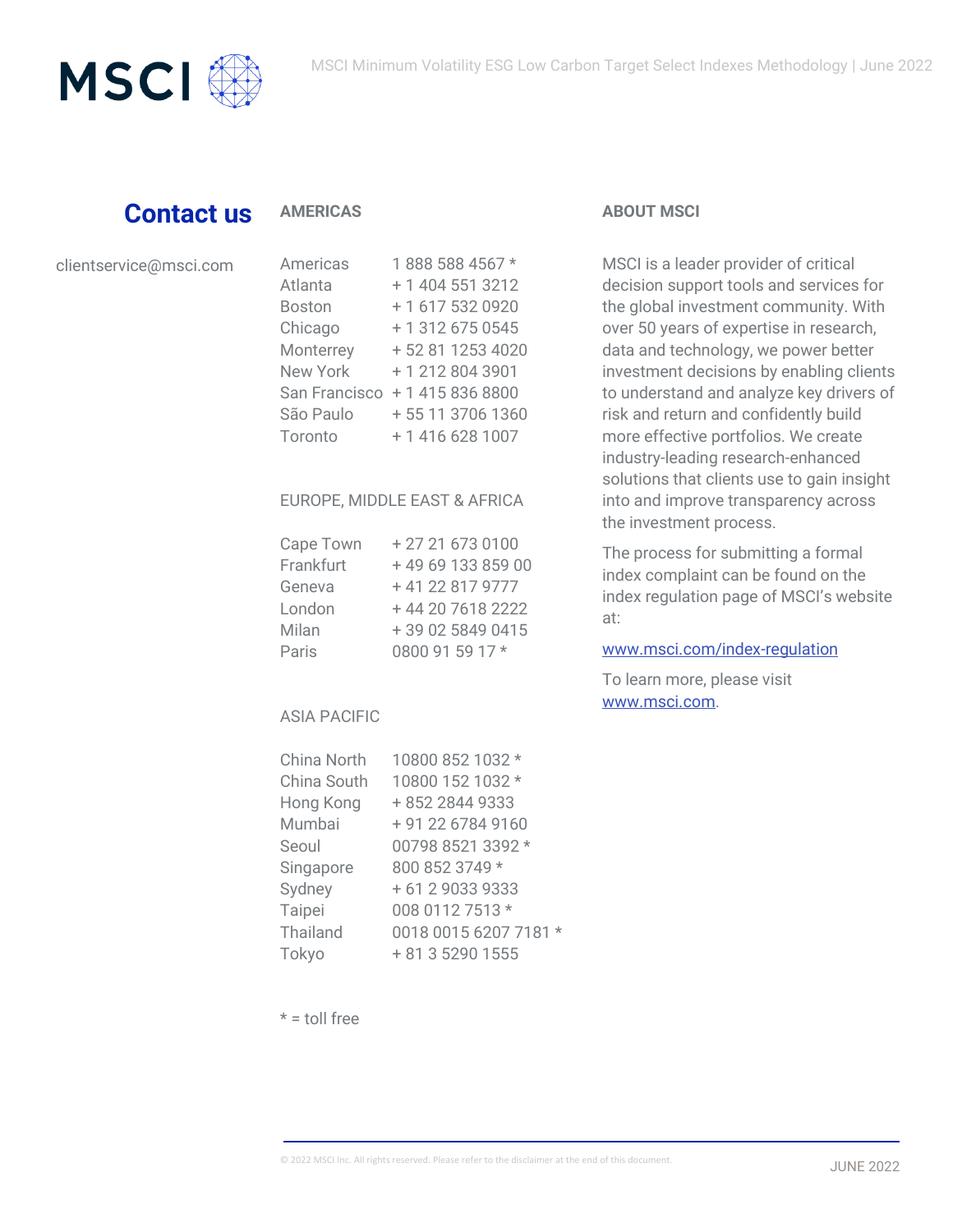

## **Contact us**

#### **AMERICAS**

| clientservice@msci.com |  |  |
|------------------------|--|--|
|                        |  |  |

| Americas        | 1888 588 4567 *   |
|-----------------|-------------------|
| Atlanta         | + 1 404 551 3212  |
| Boston          | +1 617 532 0920   |
| Chicago         | + 1 312 675 0545  |
| Monterrey       | +52 81 1253 4020  |
| <b>New York</b> | +12128043901      |
| San Francisco   | +14158368800      |
| São Paulo       | + 55 11 3706 1360 |
| Toronto         | + 1 416 628 1007  |
|                 |                   |

#### EUROPE, MIDDLE EAST & AFRICA

| Cape Town | +27216730100     |
|-----------|------------------|
| Frankfurt | +496913385900    |
| Geneva    | +41 22 817 9777  |
| London    | +44 20 7618 2222 |
| Milan     | +39 02 5849 0415 |
| Paris     | 0800 91 59 17 *  |

#### ASIA PACIFIC

| China North | 10800 852 1032 *      |
|-------------|-----------------------|
| China South | 10800 152 1032 *      |
| Hong Kong   | + 852 2844 9333       |
| Mumbai      | + 91 22 6784 9160     |
| Seoul       | 00798 8521 3392 *     |
| Singapore   | 800 852 3749 *        |
| Sydney      | + 61 2 9033 9333      |
| Taipei      | 008 0112 7513 *       |
| Thailand    | 0018 0015 6207 7181 * |
| Tokyo       | + 81 3 5290 1555      |

#### **ABOUT MSCI**

MSCI is a leader provider of critical decision support tools and services for the global investment community. With over 50 years of expertise in research, data and technology, we power better investment decisions by enabling clients to understand and analyze key drivers of risk and return and confidently build more effective portfolios. We create industry-leading research-enhanced solutions that clients use to gain insight into and improve transparency across the investment process.

The process for submitting a formal index complaint can be found on the index regulation page of MSCI's website at:

#### [www.msci.com/index-regulation](https://www.msci.com/index-regulation)

To learn more, please visit [www.msci.com.](file://///int.msci.com/root/Mumbai/lib/NPDData/Chirag/SF%20ESG%20Blk/meth%20book/Final%20Draft/www.msci.com)

 $* =$  toll free